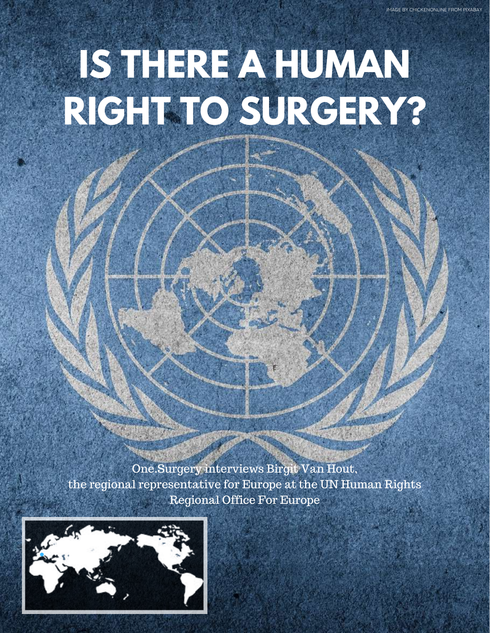# **IS THERE A HUMAN RIGHT TO SURGERY?**

One.Surgery interviews Birgit Van Hout, the regional representative for Europe at the UN Human Rights Regional Office For Europe

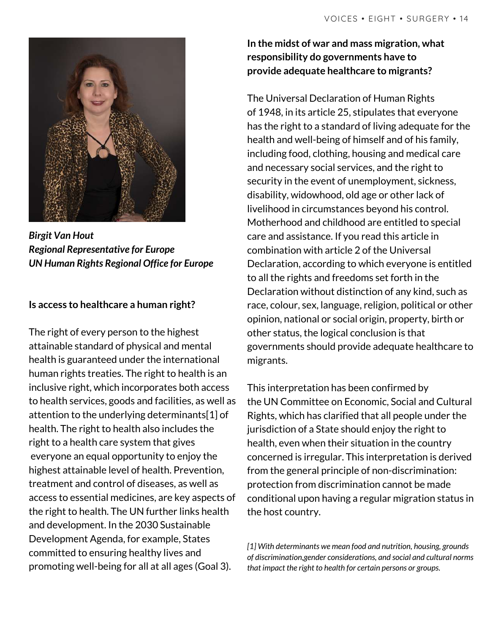

*Birgit Van Hout Regional Representative for Europe UN Human Rights Regional Office for Europe*

#### **Is access to healthcare a human right?**

The right of every person to the highest attainable standard of physical and mental health is guaranteed under the international human rights treaties. The right to health is an inclusive right, which incorporates both access to health services, goods and facilities, as well as attention to the underlying determinants[1] of health. The right to health also includes the right to a health care system that gives everyone an equal opportunity to enjoy the highest attainable level of health. Prevention, treatment and control of diseases, as well as access to essential medicines, are key aspects of the right to health. The UN further links health and development. In the 2030 Sustainable Development Agenda, for example, States committed to ensuring healthy lives and promoting well-being for all at all ages (Goal 3).

**In the midst of war and mass migration, what responsibility do governments have to provide adequate healthcare to migrants?**

The Universal Declaration of Human Rights of 1948, in its article 25, stipulates that everyone has the right to a standard of living adequate for the health and well-being of himself and of his family, including food, clothing, housing and medical care and necessary social services, and the right to security in the event of unemployment, sickness, disability, widowhood, old age or other lack of livelihood in circumstances beyond his control. Motherhood and childhood are entitled to special care and assistance. If you read this article in combination with article 2 of the Universal Declaration, according to which everyone is entitled to all the rights and freedoms set forth in the Declaration without distinction of any kind, such as race, colour, sex, language, religion, political or other opinion, national or social origin, property, birth or other status, the logical conclusion is that governments should provide adequate healthcare to migrants.

This interpretation has been confirmed by the UN Committee on Economic, Social and Cultural Rights, which has clarified that all people under the jurisdiction of a State should enjoy the right to health, even when their situation in the country concerned is irregular. This interpretation is derived from the general principle of non-discrimination: protection from discrimination cannot be made conditional upon having a regular migration status in the host country.

*[1] With determinants we mean food and nutrition, housing, grounds of discrimination,gender considerations, and social and cultural norms that impact the right to health for certain persons or groups.*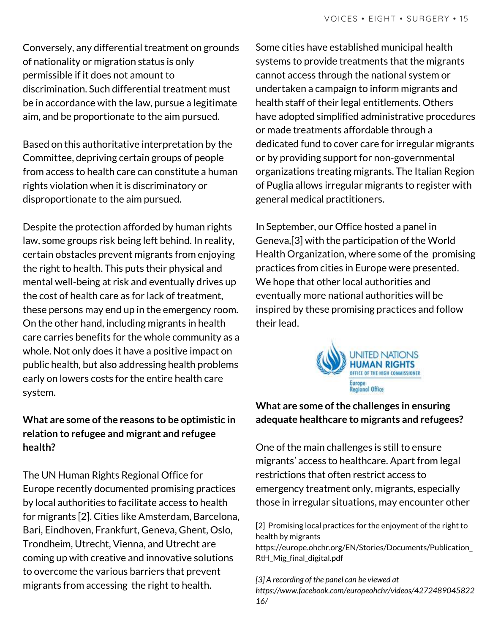Conversely, any differential treatment on grounds of nationality or migration status is only permissible if it does not amount to discrimination. Such differential treatment must be in accordance with the law, pursue a legitimate aim, and be proportionate to the aim pursued.

Based on this authoritative interpretation by the Committee, depriving certain groups of people from access to health care can constitute a human rights violation when it is discriminatory or disproportionate to the aim pursued.

Despite the protection afforded by human rights law, some groups risk being left behind. In reality, certain obstacles prevent migrants from enjoying the right to health. This puts their physical and mental well-being at risk and eventually drives up the cost of health care as for lack of treatment, these persons may end up in the emergency room. On the other hand, including migrants in health care carries benefits for the whole community as a whole. Not only does it have a positive impact on public health, but also addressing health problems early on lowers costs for the entire health care system.

#### **What are some ofthe reasons to be optimistic in relation to refugee and migrant and refugee health?**

The UN Human Rights Regional Office for Europe recently documented promising practices by local authorities to facilitate access to health for migrants [2]. Cities like Amsterdam, Barcelona, Bari, Eindhoven, Frankfurt, Geneva, Ghent, Oslo, Trondheim, Utrecht, Vienna, and Utrecht are coming up with creative and innovative solutions to overcome the various barriers that prevent migrants from accessing the right to health.

Some cities have established municipal health systems to provide treatments that the migrants cannot access through the national system or undertaken a campaign to inform migrants and health staff of their legal entitlements. Others have adopted simplified administrative procedures or made treatments affordable through a dedicated fund to cover care for irregular migrants or by providing support for non-governmental organizations treating migrants. The Italian Region of Puglia allows irregular migrants to register with general medical practitioners.

In September, our Office hosted a panel in Geneva,[3] with the participation of the World Health Organization, where some of the promising practices from cities in Europe were presented. We hope that other local authorities and eventually more national authorities will be inspired by these promising practices and follow their lead.



### **What** are some of the challenges in ensuring **adequate healthcare to migrants and refugees?**

One of the main challenges is still to ensure migrants' access to healthcare. Apart from legal restrictions that often restrict access to emergency treatment only, migrants, especially those in irregular situations, may encounter other

[2] Promising local practices for the enjoyment of the right to health by migrants https://europe.ohchr.org/EN/Stories/Documents/Publication\_ RtH Mig final digital.pdf

*[3] A recording of the panel can be viewed at https://www.facebook.com/europeohchr/videos/4272489045822 16/*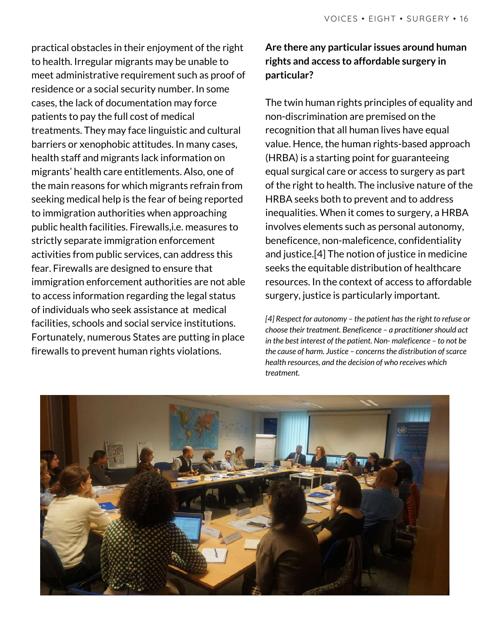practical obstacles in their enjoyment of the right to health. Irregular migrants may be unable to meet administrative requirement such as proof of residence or a social security number. In some cases, the lack of documentation may force patients to pay the full cost of medical treatments. They may face linguistic and cultural barriers or xenophobic attitudes. In many cases, health staff and migrants lack information on migrants' health care entitlements. Also, one of the main reasons for which migrants refrain from seeking medical help is the fear of being reported to immigration authorities when approaching public health facilities. Firewalls,i.e. measures to strictly separate immigration enforcement activities from public services, can address this fear. Firewalls are designed to ensure that immigration enforcement authorities are not able to access information regarding the legal status of individuals who seek assistance at medical facilities, schools and social service institutions. Fortunately, numerous States are putting in place firewalls to prevent human rights violations.

## **Are there any particular issues around human rights and access to affordable surgery in particular?**

The twin human rights principles of equality and non-discrimination are premised on the recognition that all human lives have equal value. Hence, the human rights-based approach (HRBA) is a starting point for guaranteeing equal surgical care or access to surgery as part of the right to health. The inclusive nature of the HRBA seeks both to prevent and to address inequalities. When it comes to surgery, a HRBA involves elements such as personal autonomy, beneficence, non-maleficence, confidentiality and justice.[4] The notion of justice in medicine seeks the equitable distribution of healthcare resources. In the context of access to affordable surgery, justice is particularly important.

*[4] Respect for autonomy – the patient hasthe right to refuse or choose their treatment. Beneficence – a practitioner should act in the best interest of the patient. Non- maleficence – to not be the cause of harm. Justice – concernsthe distribution ofscarce health resources, and the decision of who receives which treatment.*

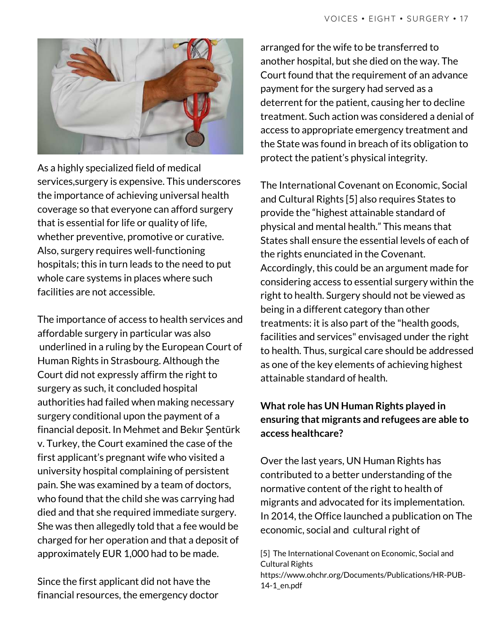

As a highly specialized field of medical services,surgery is expensive. This underscores the importance of achieving universal health coverage so that everyone can afford surgery that is essential for life or quality of life, whether preventive, promotive or curative. Also, surgery requires well-functioning hospitals; this in turn leads to the need to put whole care systems in places where such facilities are not accessible.

The importance of access to health services and affordable surgery in particular was also underlined in a ruling by the European Court of Human Rights in Strasbourg. Although the Court did not expressly affirm the right to surgery as such, it concluded hospital authorities had failed when making necessary surgery conditional upon the payment of a financial deposit. In Mehmet and Bekır Şentürk v. Turkey, the Court examined the case of the first applicant's pregnant wife who visited a university hospital complaining of persistent pain. She was examined by a team of doctors, who found that the child she was carrying had died and that she required immediate surgery. She was then allegedly told that a fee would be charged for her operation and that a deposit of approximately EUR 1,000 had to be made.

Since the first applicant did not have the financial resources, the emergency doctor

arranged for the wife to be transferred to another hospital, but she died on the way. The Court found that the requirement of an advance payment for the surgery had served as a deterrent for the patient, causing her to decline treatment. Such action was considered a denial of access to appropriate emergency treatment and the State was found in breach of its obligation to protect the patient's physical integrity.

The International Covenant on Economic, Social and Cultural Rights [5] also requires States to provide the "highest attainable standard of physical and mental health." This means that States shall ensure the essential levels of each of the rights enunciated in the Covenant. Accordingly, this could be an argument made for considering access to essential surgery within the right to health. Surgery should not be viewed as being in a different category than other treatments: it is also part of the "health goods, facilities and services" envisaged under the right to health. Thus, surgical care should be addressed as one of the key elements of achieving highest attainable standard of health.

## **What role has UN Human Rights played in ensuring that migrants and refugees are able to access healthcare?**

Over the last years, UN Human Rights has contributed to a better understanding of the normative content of the right to health of migrants and advocated for its implementation. In 2014, the Office launched a publication on The economic, social and cultural right of

[5] The International Covenant on Economic, Social and Cultural Rights https://www.ohchr.org/Documents/Publications/HR-PUB-14-1\_en.pdf